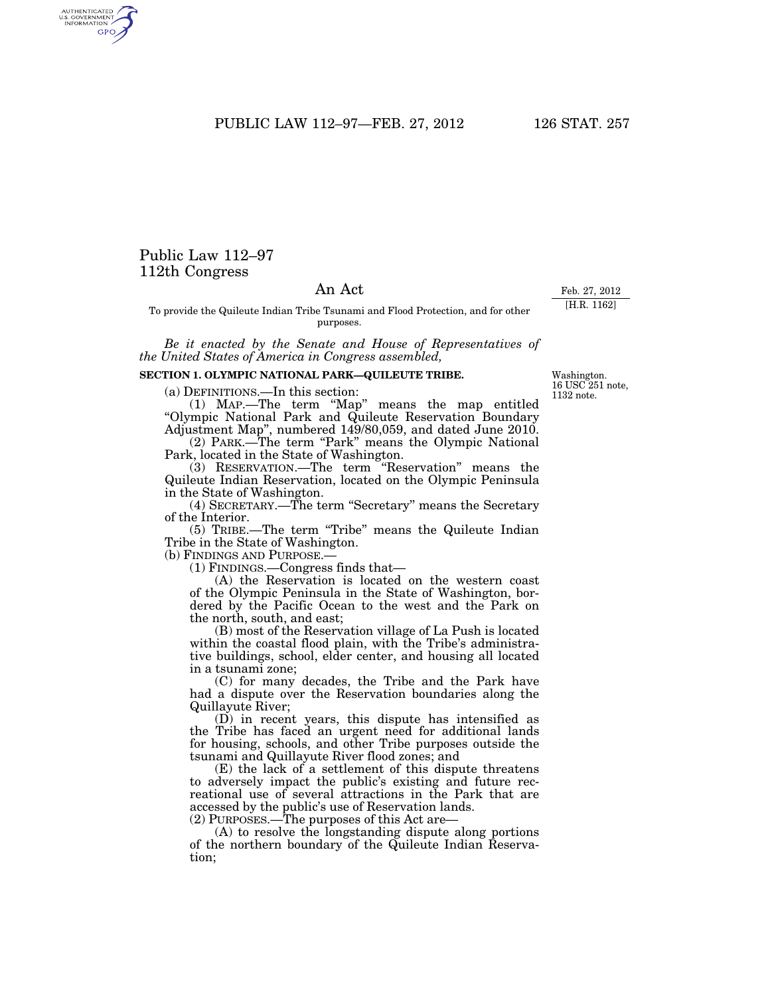PUBLIC LAW 112-97-FEB. 27, 2012 126 STAT. 257

## Public Law 112–97 112th Congress

## An Act

To provide the Quileute Indian Tribe Tsunami and Flood Protection, and for other purposes.

*Be it enacted by the Senate and House of Representatives of the United States of America in Congress assembled,* 

## **SECTION 1. OLYMPIC NATIONAL PARK—QUILEUTE TRIBE.**

(a) DEFINITIONS.—In this section:

(1) MAP.—The term ''Map'' means the map entitled ''Olympic National Park and Quileute Reservation Boundary Adjustment Map'', numbered 149/80,059, and dated June 2010.

(2) PARK.—The term "Park" means the Olympic National Park, located in the State of Washington.

(3) RESERVATION.—The term ''Reservation'' means the Quileute Indian Reservation, located on the Olympic Peninsula in the State of Washington.

(4) SECRETARY.—The term ''Secretary'' means the Secretary of the Interior.

(5) TRIBE.—The term ''Tribe'' means the Quileute Indian Tribe in the State of Washington.

(b) FINDINGS AND PURPOSE.—

(1) FINDINGS.—Congress finds that—

(A) the Reservation is located on the western coast of the Olympic Peninsula in the State of Washington, bordered by the Pacific Ocean to the west and the Park on the north, south, and east;

(B) most of the Reservation village of La Push is located within the coastal flood plain, with the Tribe's administrative buildings, school, elder center, and housing all located in a tsunami zone;

(C) for many decades, the Tribe and the Park have had a dispute over the Reservation boundaries along the Quillayute River;

(D) in recent years, this dispute has intensified as the Tribe has faced an urgent need for additional lands for housing, schools, and other Tribe purposes outside the tsunami and Quillayute River flood zones; and

(E) the lack of a settlement of this dispute threatens to adversely impact the public's existing and future recreational use of several attractions in the Park that are accessed by the public's use of Reservation lands.

(2) PURPOSES.—The purposes of this Act are—

(A) to resolve the longstanding dispute along portions of the northern boundary of the Quileute Indian Reservation;

Washington. 16 USC 251 note, 1132 note.

Feb. 27, 2012 [H.R. 1162]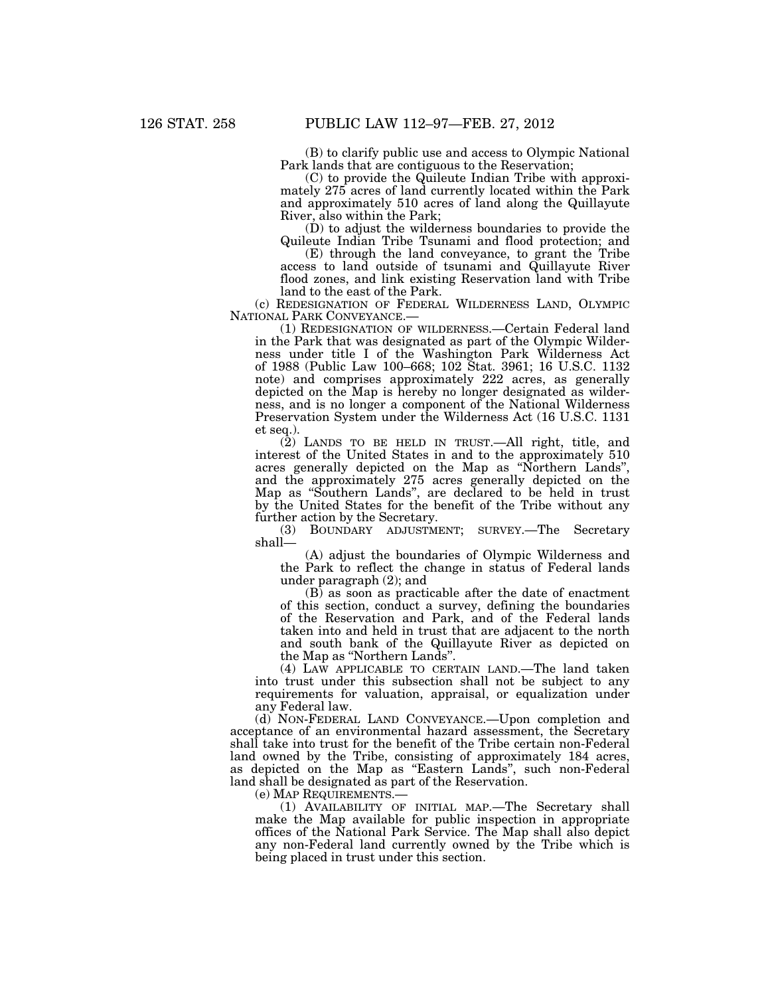(B) to clarify public use and access to Olympic National Park lands that are contiguous to the Reservation;

(C) to provide the Quileute Indian Tribe with approximately 275 acres of land currently located within the Park and approximately 510 acres of land along the Quillayute River, also within the Park;

(D) to adjust the wilderness boundaries to provide the Quileute Indian Tribe Tsunami and flood protection; and

(E) through the land conveyance, to grant the Tribe access to land outside of tsunami and Quillayute River flood zones, and link existing Reservation land with Tribe land to the east of the Park.

(c) REDESIGNATION OF FEDERAL WILDERNESS LAND, OLYMPIC NATIONAL PARK CONVEYANCE.—

(1) REDESIGNATION OF WILDERNESS.—Certain Federal land in the Park that was designated as part of the Olympic Wilderness under title I of the Washington Park Wilderness Act of 1988 (Public Law 100–668; 102 Stat. 3961; 16 U.S.C. 1132 note) and comprises approximately 222 acres, as generally depicted on the Map is hereby no longer designated as wilderness, and is no longer a component of the National Wilderness Preservation System under the Wilderness Act (16 U.S.C. 1131 et seq.).

(2) LANDS TO BE HELD IN TRUST.—All right, title, and interest of the United States in and to the approximately 510 acres generally depicted on the Map as ''Northern Lands'', and the approximately 275 acres generally depicted on the Map as ''Southern Lands'', are declared to be held in trust by the United States for the benefit of the Tribe without any further action by the Secretary.

(3) BOUNDARY ADJUSTMENT; SURVEY.—The Secretary shall—

(A) adjust the boundaries of Olympic Wilderness and the Park to reflect the change in status of Federal lands under paragraph (2); and

(B) as soon as practicable after the date of enactment of this section, conduct a survey, defining the boundaries of the Reservation and Park, and of the Federal lands taken into and held in trust that are adjacent to the north and south bank of the Quillayute River as depicted on the Map as "Northern Lands".

(4) LAW APPLICABLE TO CERTAIN LAND.—The land taken into trust under this subsection shall not be subject to any requirements for valuation, appraisal, or equalization under any Federal law.

(d) NON-FEDERAL LAND CONVEYANCE.—Upon completion and acceptance of an environmental hazard assessment, the Secretary shall take into trust for the benefit of the Tribe certain non-Federal land owned by the Tribe, consisting of approximately 184 acres, as depicted on the Map as ''Eastern Lands'', such non-Federal land shall be designated as part of the Reservation.

(e) MAP REQUIREMENTS.—

(1) AVAILABILITY OF INITIAL MAP.—The Secretary shall make the Map available for public inspection in appropriate offices of the National Park Service. The Map shall also depict any non-Federal land currently owned by the Tribe which is being placed in trust under this section.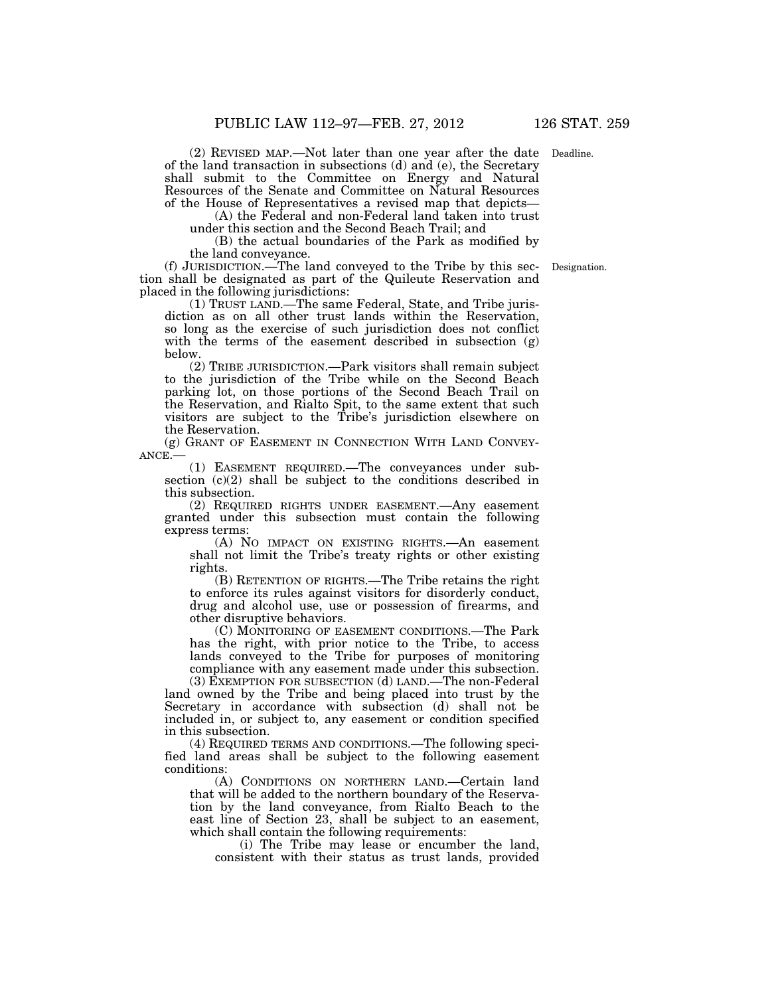(2) REVISED MAP.—Not later than one year after the date Deadline. of the land transaction in subsections (d) and (e), the Secretary shall submit to the Committee on Energy and Natural Resources of the Senate and Committee on Natural Resources of the House of Representatives a revised map that depicts—

(A) the Federal and non-Federal land taken into trust

under this section and the Second Beach Trail; and

(B) the actual boundaries of the Park as modified by the land conveyance.

(f) JURISDICTION.—The land conveyed to the Tribe by this section shall be designated as part of the Quileute Reservation and placed in the following jurisdictions:

(1) TRUST LAND.—The same Federal, State, and Tribe jurisdiction as on all other trust lands within the Reservation, so long as the exercise of such jurisdiction does not conflict with the terms of the easement described in subsection (g) below.

(2) TRIBE JURISDICTION.—Park visitors shall remain subject to the jurisdiction of the Tribe while on the Second Beach parking lot, on those portions of the Second Beach Trail on the Reservation, and Rialto Spit, to the same extent that such visitors are subject to the Tribe's jurisdiction elsewhere on the Reservation.

(g) GRANT OF EASEMENT IN CONNECTION WITH LAND CONVEY-ANCE.—

(1) EASEMENT REQUIRED.—The conveyances under subsection (c)(2) shall be subject to the conditions described in this subsection.

(2) REQUIRED RIGHTS UNDER EASEMENT.—Any easement granted under this subsection must contain the following express terms:

(A) NO IMPACT ON EXISTING RIGHTS.—An easement shall not limit the Tribe's treaty rights or other existing rights.

(B) RETENTION OF RIGHTS.—The Tribe retains the right to enforce its rules against visitors for disorderly conduct, drug and alcohol use, use or possession of firearms, and other disruptive behaviors.

(C) MONITORING OF EASEMENT CONDITIONS.—The Park has the right, with prior notice to the Tribe, to access lands conveyed to the Tribe for purposes of monitoring compliance with any easement made under this subsection.

(3) EXEMPTION FOR SUBSECTION (d) LAND.—The non-Federal land owned by the Tribe and being placed into trust by the Secretary in accordance with subsection (d) shall not be included in, or subject to, any easement or condition specified in this subsection.

(4) REQUIRED TERMS AND CONDITIONS.—The following specified land areas shall be subject to the following easement conditions:

(A) CONDITIONS ON NORTHERN LAND.—Certain land that will be added to the northern boundary of the Reservation by the land conveyance, from Rialto Beach to the east line of Section 23, shall be subject to an easement, which shall contain the following requirements:

(i) The Tribe may lease or encumber the land, consistent with their status as trust lands, provided

Designation.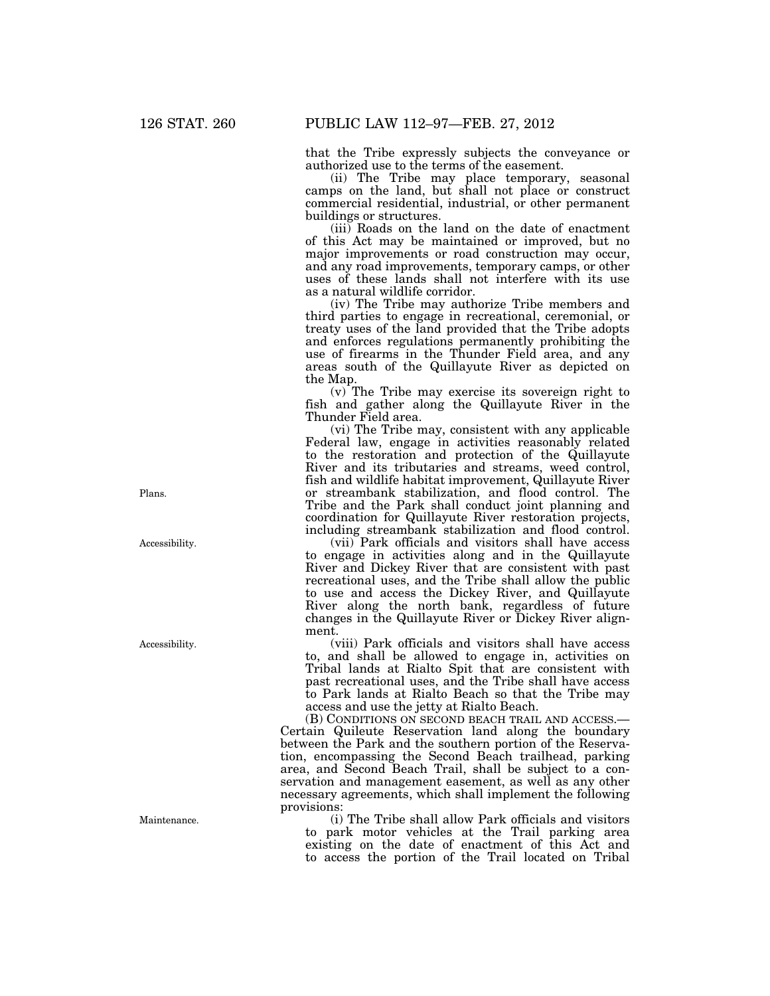that the Tribe expressly subjects the conveyance or authorized use to the terms of the easement.

(ii) The Tribe may place temporary, seasonal camps on the land, but shall not place or construct commercial residential, industrial, or other permanent buildings or structures.

(iii) Roads on the land on the date of enactment of this Act may be maintained or improved, but no major improvements or road construction may occur, and any road improvements, temporary camps, or other uses of these lands shall not interfere with its use as a natural wildlife corridor.

(iv) The Tribe may authorize Tribe members and third parties to engage in recreational, ceremonial, or treaty uses of the land provided that the Tribe adopts and enforces regulations permanently prohibiting the use of firearms in the Thunder Field area, and any areas south of the Quillayute River as depicted on the Map.

(v) The Tribe may exercise its sovereign right to fish and gather along the Quillayute River in the Thunder Field area.

(vi) The Tribe may, consistent with any applicable Federal law, engage in activities reasonably related to the restoration and protection of the Quillayute River and its tributaries and streams, weed control, fish and wildlife habitat improvement, Quillayute River or streambank stabilization, and flood control. The Tribe and the Park shall conduct joint planning and coordination for Quillayute River restoration projects, including streambank stabilization and flood control.

(vii) Park officials and visitors shall have access to engage in activities along and in the Quillayute River and Dickey River that are consistent with past recreational uses, and the Tribe shall allow the public to use and access the Dickey River, and Quillayute River along the north bank, regardless of future changes in the Quillayute River or Dickey River alignment.

(viii) Park officials and visitors shall have access to, and shall be allowed to engage in, activities on Tribal lands at Rialto Spit that are consistent with past recreational uses, and the Tribe shall have access to Park lands at Rialto Beach so that the Tribe may access and use the jetty at Rialto Beach.

(B) CONDITIONS ON SECOND BEACH TRAIL AND ACCESS.— Certain Quileute Reservation land along the boundary between the Park and the southern portion of the Reservation, encompassing the Second Beach trailhead, parking area, and Second Beach Trail, shall be subject to a conservation and management easement, as well as any other necessary agreements, which shall implement the following provisions:

(i) The Tribe shall allow Park officials and visitors to park motor vehicles at the Trail parking area existing on the date of enactment of this Act and to access the portion of the Trail located on Tribal

Plans.

Accessibility.

Accessibility.

**Maintenance**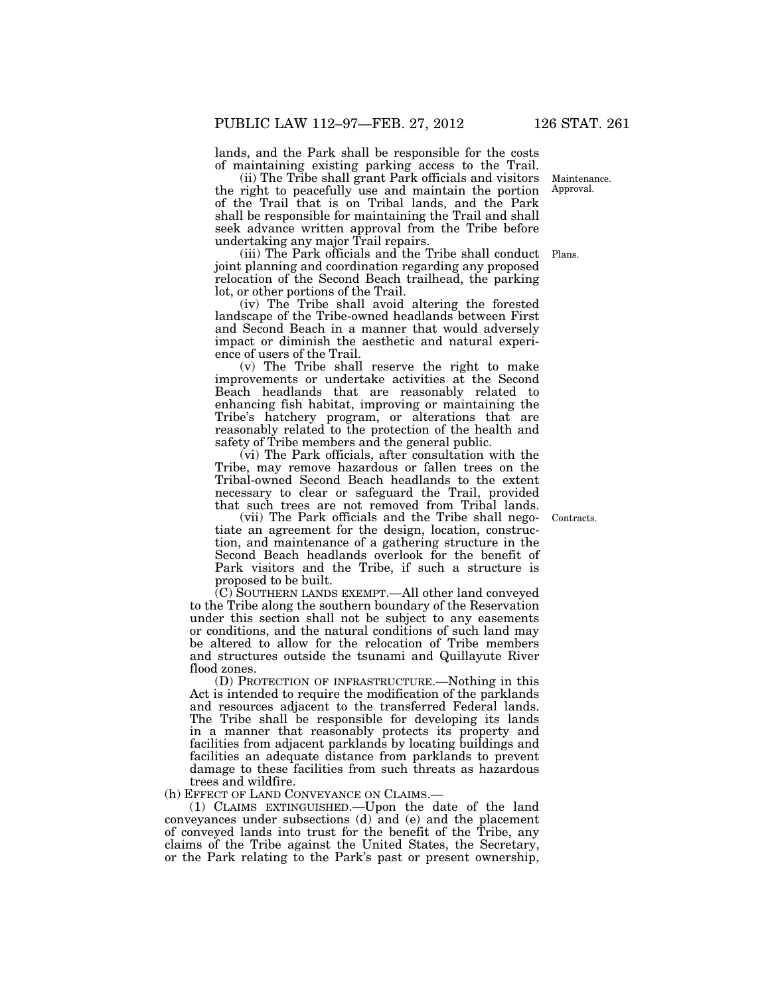lands, and the Park shall be responsible for the costs of maintaining existing parking access to the Trail.

(ii) The Tribe shall grant Park officials and visitors the right to peacefully use and maintain the portion of the Trail that is on Tribal lands, and the Park shall be responsible for maintaining the Trail and shall seek advance written approval from the Tribe before undertaking any major Trail repairs.

(iii) The Park officials and the Tribe shall conduct Plans. joint planning and coordination regarding any proposed relocation of the Second Beach trailhead, the parking lot, or other portions of the Trail.

(iv) The Tribe shall avoid altering the forested landscape of the Tribe-owned headlands between First and Second Beach in a manner that would adversely impact or diminish the aesthetic and natural experience of users of the Trail.

(v) The Tribe shall reserve the right to make improvements or undertake activities at the Second Beach headlands that are reasonably related to enhancing fish habitat, improving or maintaining the Tribe's hatchery program, or alterations that are reasonably related to the protection of the health and safety of Tribe members and the general public.

(vi) The Park officials, after consultation with the Tribe, may remove hazardous or fallen trees on the Tribal-owned Second Beach headlands to the extent necessary to clear or safeguard the Trail, provided that such trees are not removed from Tribal lands.

(vii) The Park officials and the Tribe shall negotiate an agreement for the design, location, construction, and maintenance of a gathering structure in the Second Beach headlands overlook for the benefit of Park visitors and the Tribe, if such a structure is proposed to be built.

(C) SOUTHERN LANDS EXEMPT.—All other land conveyed to the Tribe along the southern boundary of the Reservation under this section shall not be subject to any easements or conditions, and the natural conditions of such land may be altered to allow for the relocation of Tribe members and structures outside the tsunami and Quillayute River flood zones.

(D) PROTECTION OF INFRASTRUCTURE.—Nothing in this Act is intended to require the modification of the parklands and resources adjacent to the transferred Federal lands. The Tribe shall be responsible for developing its lands in a manner that reasonably protects its property and facilities from adjacent parklands by locating buildings and facilities an adequate distance from parklands to prevent damage to these facilities from such threats as hazardous trees and wildfire.

(h) EFFECT OF LAND CONVEYANCE ON CLAIMS.—

(1) CLAIMS EXTINGUISHED.—Upon the date of the land conveyances under subsections (d) and (e) and the placement of conveyed lands into trust for the benefit of the Tribe, any claims of the Tribe against the United States, the Secretary, or the Park relating to the Park's past or present ownership,

Contracts.

Maintenance. Approval.